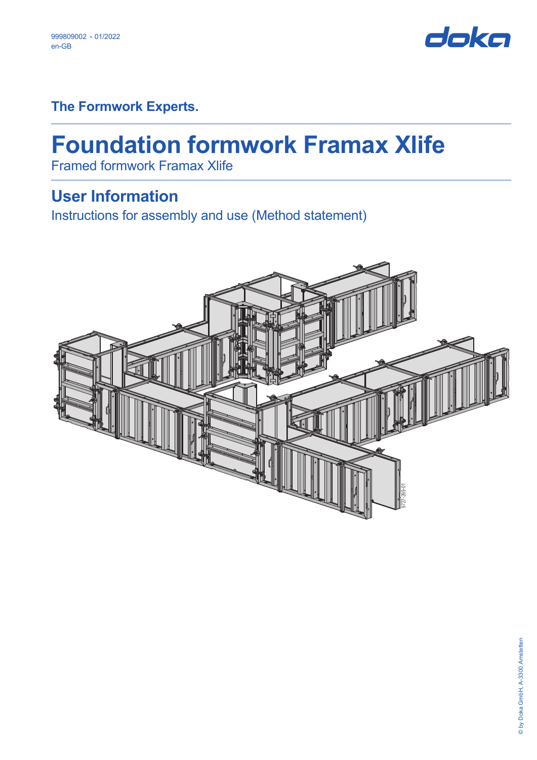

**The Formwork Experts.**

# **Foundation formwork Framax Xlife**

Framed formwork Framax Xlife

# **User Information**

Instructions for assembly and use (Method statement)

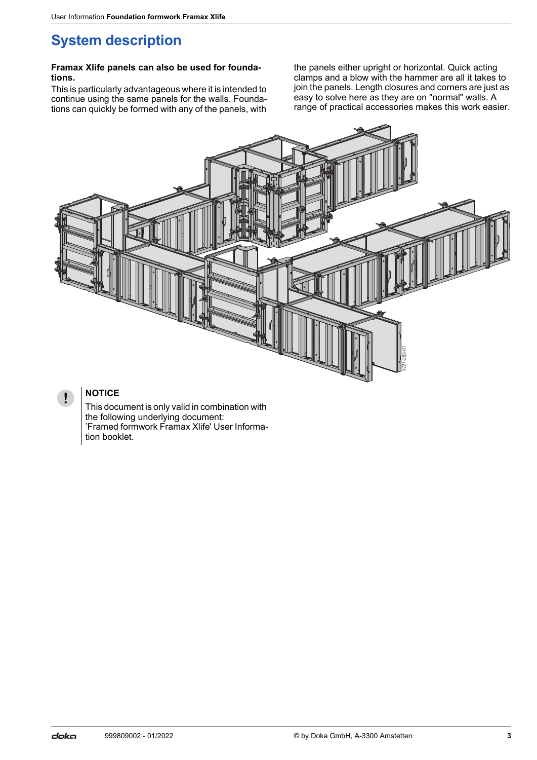# **System description**

#### **Framax Xlife panels can also be used for foundations.**

This is particularly advantageous where it is intended to continue using the same panels for the walls. Foundations can quickly be formed with any of the panels, with

the panels either upright or horizontal. Quick acting clamps and a blow with the hammer are all it takes to join the panels. Length closures and corners are just as easy to solve here as they are on "normal" walls. A range of practical accessories makes this work easier.



### **NOTICE**

 $\mathbf{I}$ 

This document is only valid in combination with the following underlying document: 'Framed formwork Framax Xlife' User Information booklet.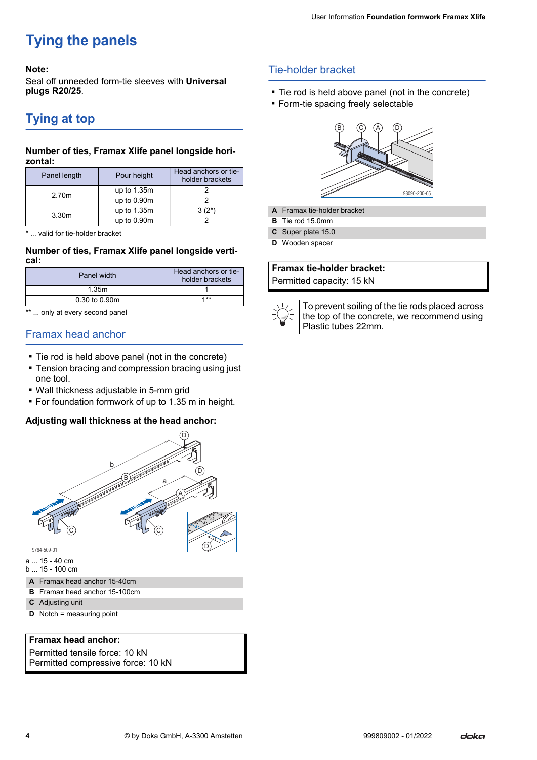# **Tying the panels**

#### **Note:**

Seal off unneeded form-tie sleeves with **Universal plugs R20/25**.

## **Tying at top**

#### **Number of ties, Framax Xlife panel longside horizontal:**

| Panel length | Pour height   | Head anchors or tie-<br>holder brackets |
|--------------|---------------|-----------------------------------------|
| 2.70m        | up to 1.35m   |                                         |
|              | up to $0.90m$ |                                         |
| 3.30m        | up to 1.35m   | $3(2^*)$                                |
|              | up to $0.90m$ |                                         |

\* ... valid for tie-holder bracket

#### **Number of ties, Framax Xlife panel longside vertical:**

| Panel width   | Head anchors or tie-<br>holder brackets |
|---------------|-----------------------------------------|
| 1.35m         |                                         |
| 0.30 to 0.90m | $4 * *$                                 |

\*\* ... only at every second panel

### Framax head anchor

- Tie rod is held above panel (not in the concrete)
- **Tension bracing and compression bracing using just** one tool.
- Wall thickness adjustable in 5-mm grid
- For foundation formwork of up to 1.35 m in height.

#### **Adjusting wall thickness at the head anchor:**



- **A** Framax head anchor 15-40cm
- **B** Framax head anchor 15-100cm
- **C** Adjusting unit
- **D** Notch = measuring point

#### **Framax head anchor:**

Permitted tensile force: 10 kN Permitted compressive force: 10 kN

### Tie-holder bracket

- **Tie rod is held above panel (not in the concrete)**
- **Form-tie spacing freely selectable**



- **A** Framax tie-holder bracket
- **B** Tie rod 15.0mm
- **C** Super plate 15.0
- **D** Wooden spacer

### **Framax tie-holder bracket:**

Permitted capacity: 15 kN



To prevent soiling of the tie rods placed across the top of the concrete, we recommend using Plastic tubes 22mm.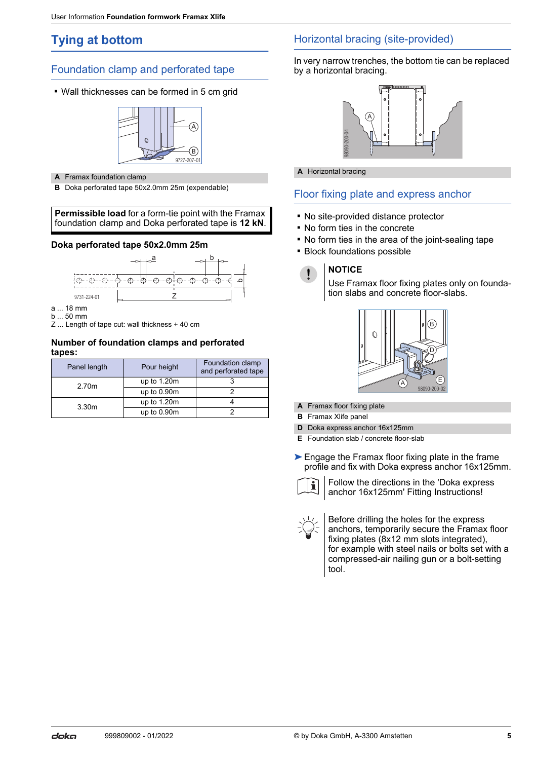# **Tying at bottom**

### Foundation clamp and perforated tape

▪ Wall thicknesses can be formed in 5 cm grid



- **A** Framax foundation clamp
- **B** Doka perforated tape 50x2.0mm 25m (expendable)

#### **Permissible load** for a form-tie point with the Framax foundation clamp and Doka perforated tape is **12 kN**.

#### **Doka perforated tape 50x2.0mm 25m**



- a ... 18 mm
- b ... 50 mm
- Z ... Length of tape cut: wall thickness + 40 cm

#### **Number of foundation clamps and perforated tapes:**

|       | Panel length      | Pour height   | Foundation clamp<br>and perforated tape |
|-------|-------------------|---------------|-----------------------------------------|
| 2.70m | up to $1.20m$     |               |                                         |
|       |                   | up to $0.90m$ |                                         |
|       | 3.30 <sub>m</sub> | up to $1.20m$ |                                         |
|       |                   | up to 0.90m   |                                         |

### Horizontal bracing (site-provided)

In very narrow trenches, the bottom tie can be replaced by a horizontal bracing.



**A** Horizontal bracing

### Floor fixing plate and express anchor

- No site-provided distance protector
- No form ties in the concrete
- No form ties in the area of the joint-sealing tape
- **E** Block foundations possible

### **NOTICE**

 $\mathbf{\mathsf{I}}$ 

Use Framax floor fixing plates only on foundation slabs and concrete floor-slabs.



- **A** Framax floor fixing plate
- **B** Framax Xlife panel
- **D** Doka express anchor 16x125mm
- **E** Foundation slab / concrete floor-slab
- ► Engage the Framax floor fixing plate in the frame profile and fix with Doka express anchor 16x125mm.



Follow the directions in the 'Doka express anchor 16x125mm' Fitting Instructions!

बाहेडूड<br>Intal br<br>All brand brand brand brand brand brand brand brand brand brand brand brand brand brand brand brand brand and brand and brand follow<br>X floor x Xlife<br>Befor and Followanch<br>Befor anch Befor and frixing<br>for Before drilling the holes for the express anchors, temporarily secure the Framax floor fixing plates (8x12 mm slots integrated). for example with steel nails or bolts set with a compressed-air nailing gun or a bolt-setting tool.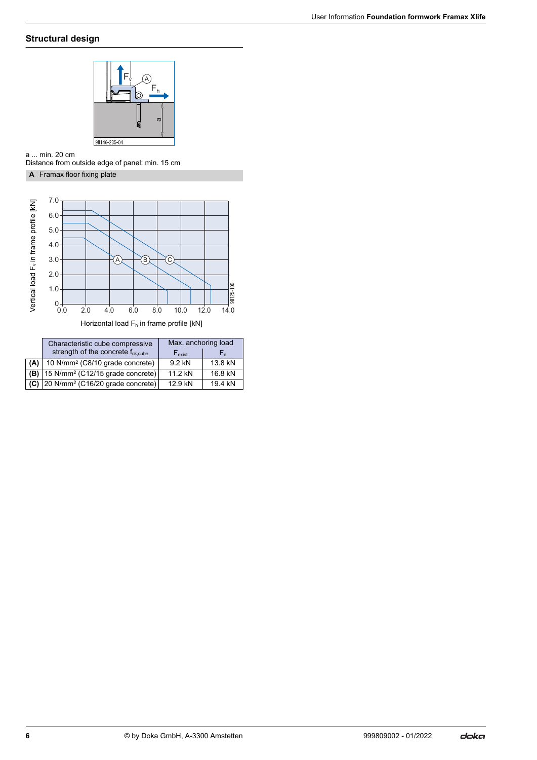### **Structural design**



a ... min. 20 cm Distance from outside edge of panel: min. 15 cm

#### **A** Framax floor fixing plate



Horizontal load F<sub>h</sub> in frame profile [kN]

|     | Characteristic cube compressive<br>strength of the concrete $f_{ck, cube}$ | Max. anchoring load<br>$F_{\text{exist}}$<br>۲ď |         |
|-----|----------------------------------------------------------------------------|-------------------------------------------------|---------|
| (A) | 10 N/mm <sup>2</sup> (C8/10 grade concrete)                                | 9.2 kN                                          | 13.8 kN |
| (B) | 15 N/mm <sup>2</sup> (C12/15 grade concrete)                               | 11 2 kN                                         | 16.8 kN |
|     | $(C)$ 20 N/mm <sup>2</sup> (C16/20 grade concrete)                         | 12 9 kN                                         | 194 kN  |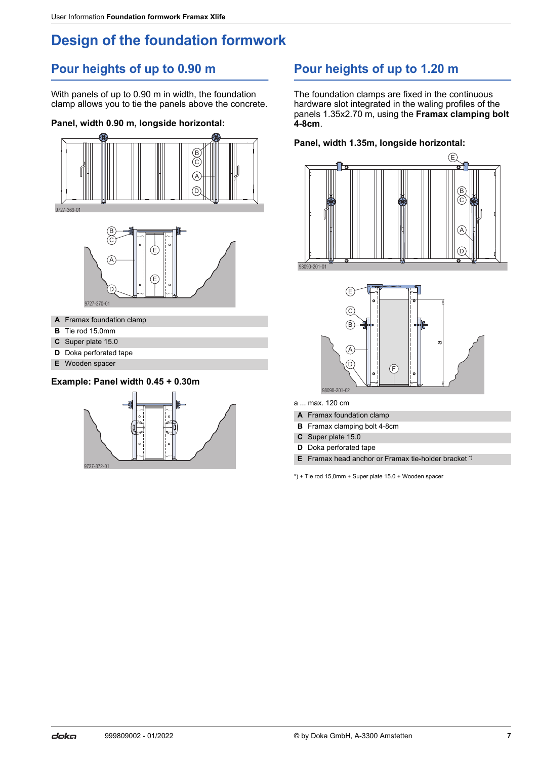# **Design of the foundation formwork**

# **Pour heights of up to 0.90 m**

With panels of up to 0.90 m in width, the foundation clamp allows you to tie the panels above the concrete.

### **Panel, width 0.90 m, longside horizontal:**



- 
- **B** Tie rod 15.0mm **C** Super plate 15.0
- **D** Doka perforated tape
- **E** Wooden spacer

### **Example: Panel width 0.45 + 0.30m**



# **Pour heights of up to 1.20 m**

The foundation clamps are fixed in the continuous hardware slot integrated in the waling profiles of the panels 1.35x2.70 m, using the **Framax clamping bolt 4-8cm**.

#### **Panel, width 1.35m, longside horizontal:**





a ... max. 120 cm

- **A** Framax foundation clamp
- **B** Framax clamping bolt 4-8cm
- **C** Super plate 15.0
- **D** Doka perforated tape
- **E** Framax head anchor or Framax tie-holder bracket \*)

\*) + Tie rod 15,0mm + Super plate 15.0 + Wooden spacer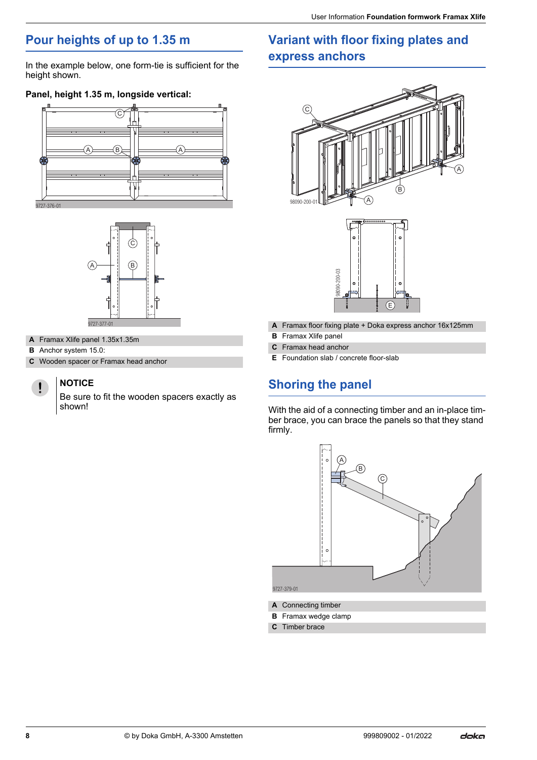# **Pour heights of up to 1.35 m**

In the example below, one form-tie is sufficient for the height shown.

### **Panel, height 1.35 m, longside vertical:**





- **A** Framax Xlife panel 1.35x1.35m
- **B** Anchor system 15.0:
- **C** Wooden spacer or Framax head anchor

### **NOTICE**

Ţ

Be sure to fit the wooden spacers exactly as shown!

# **Variant with floor fixing plates and express anchors**





- **A** Framax floor fixing plate + Doka express anchor 16x125mm
- **B** Framax Xlife panel
- **C** Framax head anchor
- **E** Foundation slab / concrete floor-slab

# **Shoring the panel**

With the aid of a connecting timber and an in-place timber brace, you can brace the panels so that they stand firmly.



- **A** Connecting timber
- **B** Framax wedge clamp
- **C** Timber brace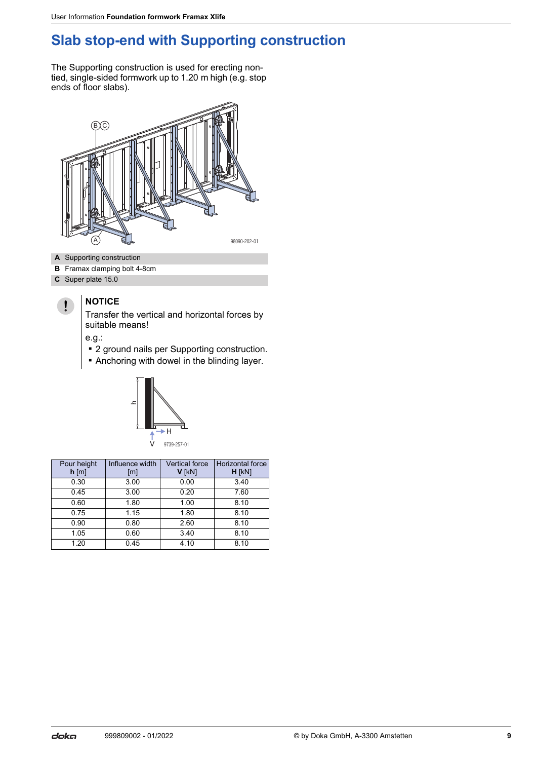# **Slab stop-end with Supporting construction**

The Supporting construction is used for erecting nontied, single-sided formwork up to 1.20 m high (e.g. stop ends of floor slabs).



- **A** Supporting construction
- **B** Framax clamping bolt 4-8cm
- **C** Super plate 15.0

#### **NOTICE**  $\mathbf{I}$

Transfer the vertical and horizontal forces by suitable means!

e.g.:

- 2 ground nails per Supporting construction.
- Anchoring with dowel in the blinding layer.



| Pour height<br>$h$ [m] | Influence width<br>[m] | <b>Vertical force</b><br>V [kN] | Horizontal force<br>$H$ [ $kN$ ] |
|------------------------|------------------------|---------------------------------|----------------------------------|
| 0.30                   | 3.00                   | 0.00                            | 3.40                             |
| 0.45                   | 3.00                   | 0.20                            | 7.60                             |
| 0.60                   | 1.80                   | 1.00                            | 8.10                             |
| 0.75                   | 1.15                   | 1.80                            | 8.10                             |
| 0.90                   | 0.80                   | 2.60                            | 8.10                             |
| 1.05                   | 0.60                   | 3.40                            | 8.10                             |
| 1.20                   | 0.45                   | 4.10                            | 8.10                             |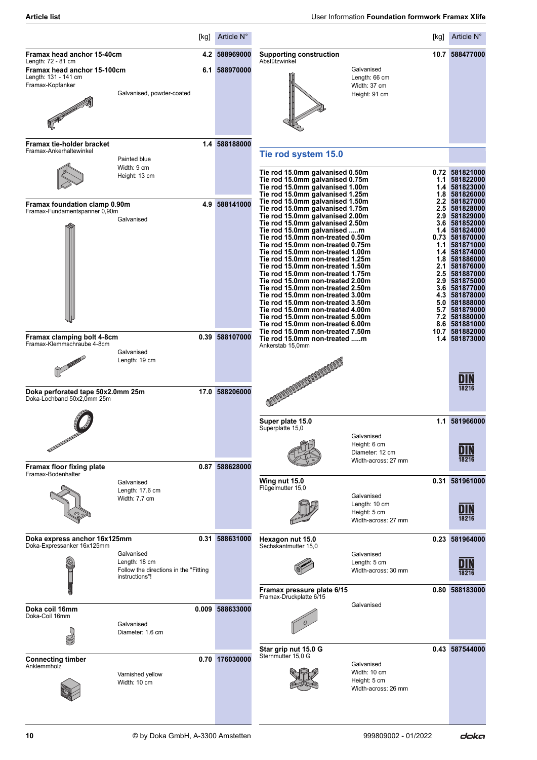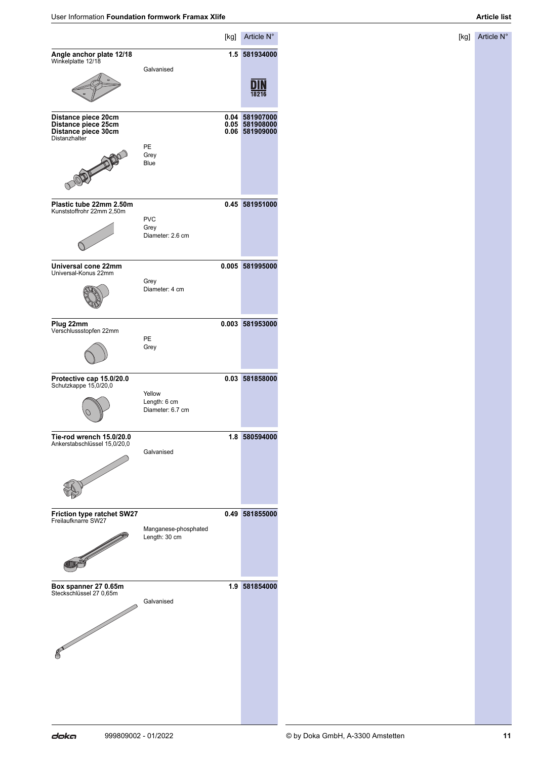[kg] Article N°

|                                                                                    |                                            | [kg]         | Article N°                               |
|------------------------------------------------------------------------------------|--------------------------------------------|--------------|------------------------------------------|
| Angle anchor plate 12/18<br>Winkelplatte 12/18                                     |                                            | 1.5          | 581934000                                |
|                                                                                    | Galvanised                                 |              |                                          |
| Distance piece 20cm<br>Distance piece 25cm<br>Distance piece 30cm<br>Distanzhalter |                                            | 0.05<br>0.06 | 0.04 581907000<br>581908000<br>581909000 |
|                                                                                    | PE<br>Grey<br>Blue                         |              |                                          |
| Plastic tube 22mm 2.50m<br>Kunststoffrohr 22mm 2,50m                               |                                            |              | 0.45 581951000                           |
|                                                                                    | <b>PVC</b><br>Grey<br>Diameter: 2.6 cm     |              |                                          |
| Universal cone 22mm<br>Universal-Konus 22mm                                        |                                            | 0.005        | 581995000                                |
|                                                                                    | Grey<br>Diameter: 4 cm                     |              |                                          |
| Plug 22mm<br>Verschlussstopfen 22mm                                                |                                            | 0.003        | 581953000                                |
|                                                                                    | PE<br>Grey                                 |              |                                          |
| Protective cap 15.0/20.0<br>Schutzkappe 15,0/20,0                                  |                                            | 0.03         | 581858000                                |
|                                                                                    | Yellow<br>Length: 6 cm<br>Diameter: 6.7 cm |              |                                          |
| Tie-rod wrench 15.0/20.0<br>Ankerstabschlüssel 15,0/20,0                           |                                            |              | 1.8 580594000                            |
|                                                                                    | Galvanised                                 |              |                                          |
| <b>Friction type ratchet SW27</b><br>Freilaufknarre SW27                           |                                            | 0.49         | 581855000                                |
| <b>IID</b>                                                                         | Manganese-phosphated<br>Length: 30 cm      |              |                                          |
| Box spanner 27 0.65m                                                               |                                            | 1.9          | 581854000                                |
| Steckschlüssel 27 0,65m<br><b>CONTRACTOR</b>                                       | Galvanised                                 |              |                                          |
|                                                                                    |                                            |              |                                          |